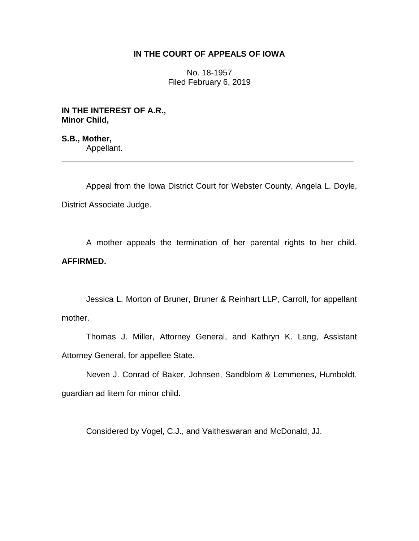## **IN THE COURT OF APPEALS OF IOWA**

No. 18-1957 Filed February 6, 2019

**IN THE INTEREST OF A.R., Minor Child,**

**S.B., Mother,** Appellant.

Appeal from the Iowa District Court for Webster County, Angela L. Doyle, District Associate Judge.

\_\_\_\_\_\_\_\_\_\_\_\_\_\_\_\_\_\_\_\_\_\_\_\_\_\_\_\_\_\_\_\_\_\_\_\_\_\_\_\_\_\_\_\_\_\_\_\_\_\_\_\_\_\_\_\_\_\_\_\_\_\_\_\_

A mother appeals the termination of her parental rights to her child. **AFFIRMED.**

Jessica L. Morton of Bruner, Bruner & Reinhart LLP, Carroll, for appellant mother.

Thomas J. Miller, Attorney General, and Kathryn K. Lang, Assistant Attorney General, for appellee State.

Neven J. Conrad of Baker, Johnsen, Sandblom & Lemmenes, Humboldt, guardian ad litem for minor child.

Considered by Vogel, C.J., and Vaitheswaran and McDonald, JJ.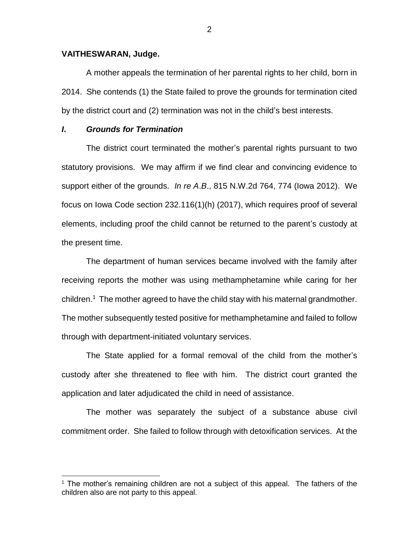## **VAITHESWARAN, Judge.**

A mother appeals the termination of her parental rights to her child, born in 2014. She contends (1) the State failed to prove the grounds for termination cited by the district court and (2) termination was not in the child's best interests.

## *I***.** *Grounds for Termination*

 $\overline{a}$ 

The district court terminated the mother's parental rights pursuant to two statutory provisions. We may affirm if we find clear and convincing evidence to support either of the grounds. *In re A*.*B*., 815 N.W.2d 764, 774 (Iowa 2012). We focus on Iowa Code section 232.116(1)(h) (2017), which requires proof of several elements, including proof the child cannot be returned to the parent's custody at the present time.

The department of human services became involved with the family after receiving reports the mother was using methamphetamine while caring for her children.<sup>1</sup> The mother agreed to have the child stay with his maternal grandmother. The mother subsequently tested positive for methamphetamine and failed to follow through with department-initiated voluntary services.

The State applied for a formal removal of the child from the mother's custody after she threatened to flee with him. The district court granted the application and later adjudicated the child in need of assistance.

The mother was separately the subject of a substance abuse civil commitment order. She failed to follow through with detoxification services. At the

<sup>&</sup>lt;sup>1</sup> The mother's remaining children are not a subject of this appeal. The fathers of the children also are not party to this appeal.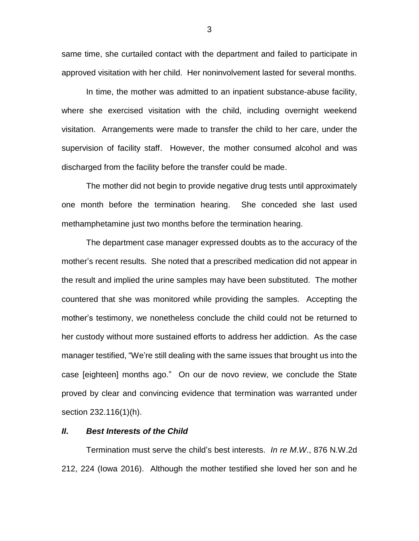same time, she curtailed contact with the department and failed to participate in approved visitation with her child. Her noninvolvement lasted for several months.

In time, the mother was admitted to an inpatient substance-abuse facility, where she exercised visitation with the child, including overnight weekend visitation.Arrangements were made to transfer the child to her care, under the supervision of facility staff. However, the mother consumed alcohol and was discharged from the facility before the transfer could be made.

The mother did not begin to provide negative drug tests until approximately one month before the termination hearing. She conceded she last used methamphetamine just two months before the termination hearing.

The department case manager expressed doubts as to the accuracy of the mother's recent results. She noted that a prescribed medication did not appear in the result and implied the urine samples may have been substituted. The mother countered that she was monitored while providing the samples. Accepting the mother's testimony, we nonetheless conclude the child could not be returned to her custody without more sustained efforts to address her addiction. As the case manager testified, "We're still dealing with the same issues that brought us into the case [eighteen] months ago." On our de novo review, we conclude the State proved by clear and convincing evidence that termination was warranted under section 232.116(1)(h).

## *II***.** *Best Interests of the Child*

Termination must serve the child's best interests. *In re M*.*W*., 876 N.W.2d 212, 224 (Iowa 2016). Although the mother testified she loved her son and he

3